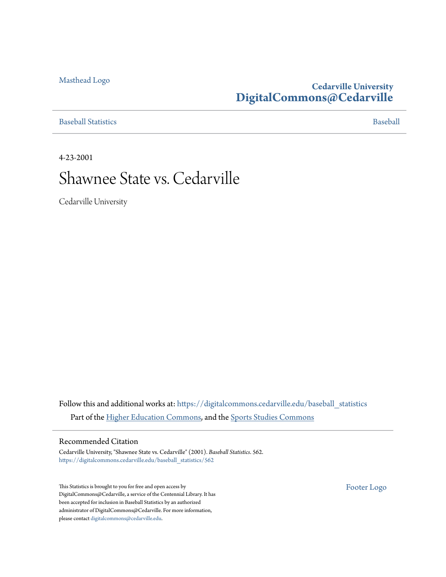### [Masthead Logo](http://www.cedarville.edu/?utm_source=digitalcommons.cedarville.edu%2Fbaseball_statistics%2F562&utm_medium=PDF&utm_campaign=PDFCoverPages)

## **Cedarville University [DigitalCommons@Cedarville](https://digitalcommons.cedarville.edu?utm_source=digitalcommons.cedarville.edu%2Fbaseball_statistics%2F562&utm_medium=PDF&utm_campaign=PDFCoverPages)**

[Baseball Statistics](https://digitalcommons.cedarville.edu/baseball_statistics?utm_source=digitalcommons.cedarville.edu%2Fbaseball_statistics%2F562&utm_medium=PDF&utm_campaign=PDFCoverPages) [Baseball](https://digitalcommons.cedarville.edu/baseball?utm_source=digitalcommons.cedarville.edu%2Fbaseball_statistics%2F562&utm_medium=PDF&utm_campaign=PDFCoverPages)

4-23-2001

# Shawnee State vs. Cedarville

Cedarville University

Follow this and additional works at: [https://digitalcommons.cedarville.edu/baseball\\_statistics](https://digitalcommons.cedarville.edu/baseball_statistics?utm_source=digitalcommons.cedarville.edu%2Fbaseball_statistics%2F562&utm_medium=PDF&utm_campaign=PDFCoverPages) Part of the [Higher Education Commons](http://network.bepress.com/hgg/discipline/1245?utm_source=digitalcommons.cedarville.edu%2Fbaseball_statistics%2F562&utm_medium=PDF&utm_campaign=PDFCoverPages), and the [Sports Studies Commons](http://network.bepress.com/hgg/discipline/1198?utm_source=digitalcommons.cedarville.edu%2Fbaseball_statistics%2F562&utm_medium=PDF&utm_campaign=PDFCoverPages)

### Recommended Citation

Cedarville University, "Shawnee State vs. Cedarville" (2001). *Baseball Statistics*. 562. [https://digitalcommons.cedarville.edu/baseball\\_statistics/562](https://digitalcommons.cedarville.edu/baseball_statistics/562?utm_source=digitalcommons.cedarville.edu%2Fbaseball_statistics%2F562&utm_medium=PDF&utm_campaign=PDFCoverPages)

This Statistics is brought to you for free and open access by DigitalCommons@Cedarville, a service of the Centennial Library. It has been accepted for inclusion in Baseball Statistics by an authorized administrator of DigitalCommons@Cedarville. For more information, please contact [digitalcommons@cedarville.edu.](mailto:digitalcommons@cedarville.edu)

[Footer Logo](http://www.cedarville.edu/Academics/Library.aspx?utm_source=digitalcommons.cedarville.edu%2Fbaseball_statistics%2F562&utm_medium=PDF&utm_campaign=PDFCoverPages)